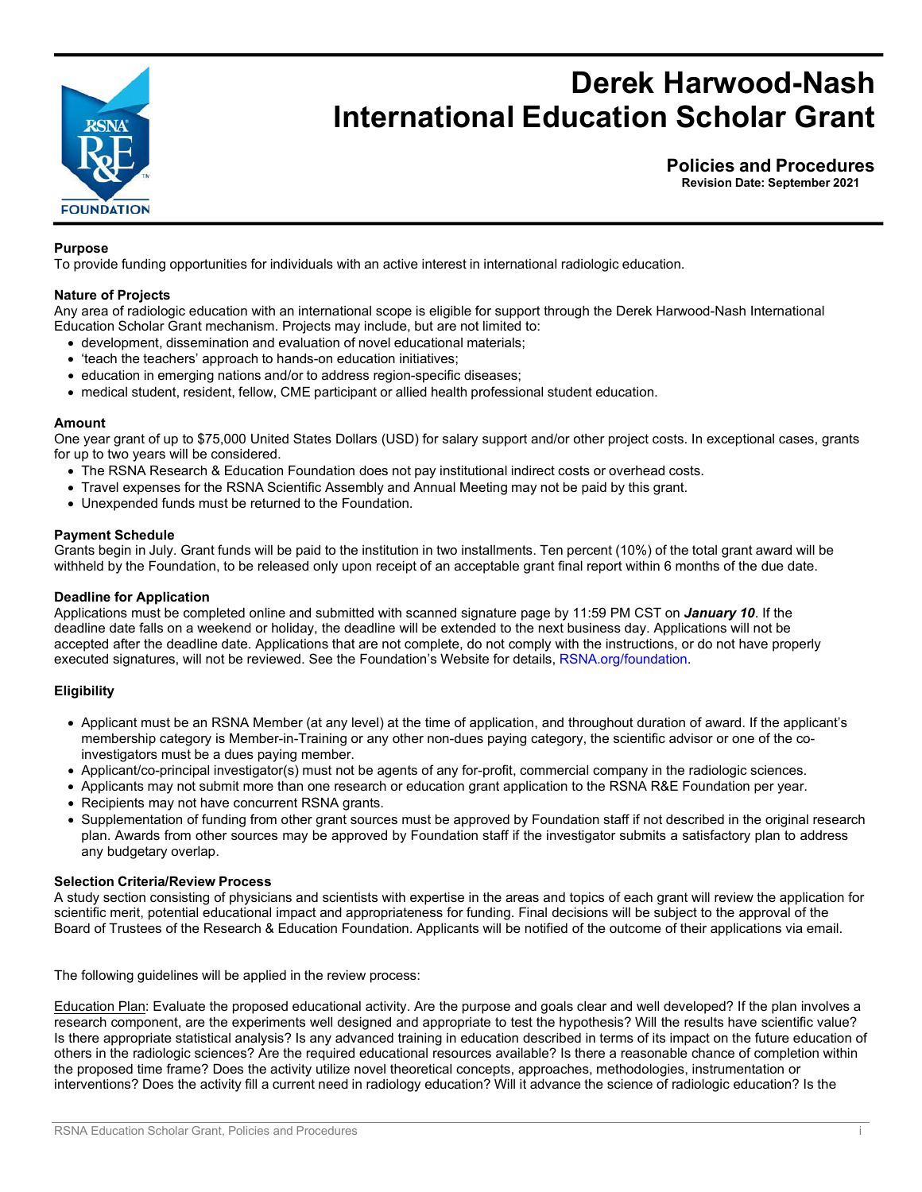

# **Derek Harwood-Nash International Education Scholar Grant**

**Policies and Procedures**

**Revision Date: September 2021**

# **Purpose**

To provide funding opportunities for individuals with an active interest in international radiologic education.

## **Nature of Projects**

Any area of radiologic education with an international scope is eligible for support through the Derek Harwood-Nash International Education Scholar Grant mechanism. Projects may include, but are not limited to:

- development, dissemination and evaluation of novel educational materials;
- 'teach the teachers' approach to hands-on education initiatives;
- education in emerging nations and/or to address region-specific diseases;
- medical student, resident, fellow, CME participant or allied health professional student education.

#### **Amount**

One year grant of up to \$75,000 United States Dollars (USD) for salary support and/or other project costs. In exceptional cases, grants for up to two years will be considered.

- The RSNA Research & Education Foundation does not pay institutional indirect costs or overhead costs.
- Travel expenses for the RSNA Scientific Assembly and Annual Meeting may not be paid by this grant.
- Unexpended funds must be returned to the Foundation.

#### **Payment Schedule**

Grants begin in July. Grant funds will be paid to the institution in two installments. Ten percent (10%) of the total grant award will be withheld by the Foundation, to be released only upon receipt of an acceptable grant final report within 6 months of the due date.

#### **Deadline for Application**

Applications must be completed online and submitted with scanned signature page by 11:59 PM CST on *January 10*. If the deadline date falls on a weekend or holiday, the deadline will be extended to the next business day. Applications will not be accepted after the deadline date. Applications that are not complete, do not comply with the instructions, or do not have properly executed signatures, will not be reviewed. See the Foundation's Website for [details,](http://www.rsna.org/foundation) RSNA.org/foundation.

## **Eligibility**

- Applicant must be an RSNA Member (at any level) at the time of application, and throughout duration of award. If the applicant's membership category is Member-in-Training or any other non-dues paying category, the scientific advisor or one of the coinvestigators must be a dues paying member.
- Applicant/co-principal investigator(s) must not be agents of any for-profit, commercial company in the radiologic sciences.
- Applicants may not submit more than one research or education grant application to the RSNA R&E Foundation per year.
- Recipients may not have concurrent RSNA grants.
- Supplementation of funding from other grant sources must be approved by Foundation staff if not described in the original research plan. Awards from other sources may be approved by Foundation staff if the investigator submits a satisfactory plan to address any budgetary overlap.

#### **Selection Criteria/Review Process**

A study section consisting of physicians and scientists with expertise in the areas and topics of each grant will review the application for scientific merit, potential educational impact and appropriateness for funding. Final decisions will be subject to the approval of the Board of Trustees of the Research & Education Foundation. Applicants will be notified of the outcome of their applications via email.

The following guidelines will be applied in the review process:

Education Plan: Evaluate the proposed educational activity. Are the purpose and goals clear and well developed? If the plan involves a research component, are the experiments well designed and appropriate to test the hypothesis? Will the results have scientific value? Is there appropriate statistical analysis? Is any advanced training in education described in terms of its impact on the future education of others in the radiologic sciences? Are the required educational resources available? Is there a reasonable chance of completion within the proposed time frame? Does the activity utilize novel theoretical concepts, approaches, methodologies, instrumentation or interventions? Does the activity fill a current need in radiology education? Will it advance the science of radiologic education? Is the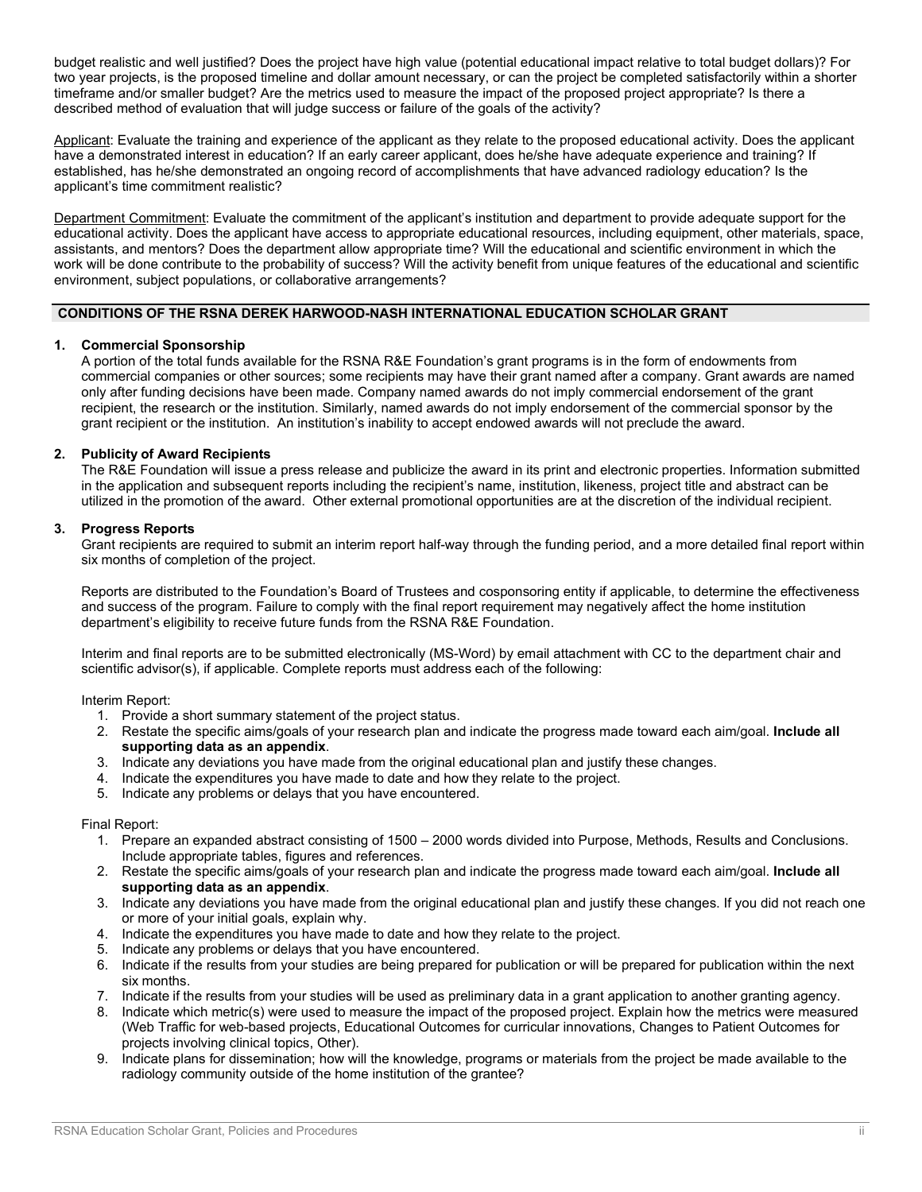budget realistic and well justified? Does the project have high value (potential educational impact relative to total budget dollars)? For two year projects, is the proposed timeline and dollar amount necessary, or can the project be completed satisfactorily within a shorter timeframe and/or smaller budget? Are the metrics used to measure the impact of the proposed project appropriate? Is there a described method of evaluation that will judge success or failure of the goals of the activity?

Applicant: Evaluate the training and experience of the applicant as they relate to the proposed educational activity. Does the applicant have a demonstrated interest in education? If an early career applicant, does he/she have adequate experience and training? If established, has he/she demonstrated an ongoing record of accomplishments that have advanced radiology education? Is the applicant's time commitment realistic?

Department Commitment: Evaluate the commitment of the applicant's institution and department to provide adequate support for the educational activity. Does the applicant have access to appropriate educational resources, including equipment, other materials, space, assistants, and mentors? Does the department allow appropriate time? Will the educational and scientific environment in which the work will be done contribute to the probability of success? Will the activity benefit from unique features of the educational and scientific environment, subject populations, or collaborative arrangements?

## **CONDITIONS OF THE RSNA DEREK HARWOOD-NASH INTERNATIONAL EDUCATION SCHOLAR GRANT**

## **1. Commercial Sponsorship**

A portion of the total funds available for the RSNA R&E Foundation's grant programs is in the form of endowments from commercial companies or other sources; some recipients may have their grant named after a company. Grant awards are named only after funding decisions have been made. Company named awards do not imply commercial endorsement of the grant recipient, the research or the institution. Similarly, named awards do not imply endorsement of the commercial sponsor by the grant recipient or the institution. An institution's inability to accept endowed awards will not preclude the award.

# **2. Publicity of Award Recipients**

The R&E Foundation will issue a press release and publicize the award in its print and electronic properties. Information submitted in the application and subsequent reports including the recipient's name, institution, likeness, project title and abstract can be utilized in the promotion of the award. Other external promotional opportunities are at the discretion of the individual recipient.

# **3. Progress Reports**

Grant recipients are required to submit an interim report half-way through the funding period, and a more detailed final report within six months of completion of the project.

Reports are distributed to the Foundation's Board of Trustees and cosponsoring entity if applicable, to determine the effectiveness and success of the program. Failure to comply with the final report requirement may negatively affect the home institution department's eligibility to receive future funds from the RSNA R&E Foundation.

Interim and final reports are to be submitted electronically (MS-Word) by email attachment with CC to the department chair and scientific advisor(s), if applicable. Complete reports must address each of the following:

Interim Report:

- 1. Provide a short summary statement of the project status.
- 2. Restate the specific aims/goals of your research plan and indicate the progress made toward each aim/goal. **Include all supporting data as an appendix**.
- 3. Indicate any deviations you have made from the original educational plan and justify these changes.
- 4. Indicate the expenditures you have made to date and how they relate to the project.
- 5. Indicate any problems or delays that you have encountered.

Final Report:

- 1. Prepare an expanded abstract consisting of 1500 2000 words divided into Purpose, Methods, Results and Conclusions. Include appropriate tables, figures and references.
- 2. Restate the specific aims/goals of your research plan and indicate the progress made toward each aim/goal. **Include all supporting data as an appendix**.
- 3. Indicate any deviations you have made from the original educational plan and justify these changes. If you did not reach one or more of your initial goals, explain why.
- 4. Indicate the expenditures you have made to date and how they relate to the project.
- 5. Indicate any problems or delays that you have encountered.
- 6. Indicate if the results from your studies are being prepared for publication or will be prepared for publication within the next six months.
- 7. Indicate if the results from your studies will be used as preliminary data in a grant application to another granting agency.
- 8. Indicate which metric(s) were used to measure the impact of the proposed project. Explain how the metrics were measured (Web Traffic for web-based projects, Educational Outcomes for curricular innovations, Changes to Patient Outcomes for projects involving clinical topics, Other).
- 9. Indicate plans for dissemination; how will the knowledge, programs or materials from the project be made available to the radiology community outside of the home institution of the grantee?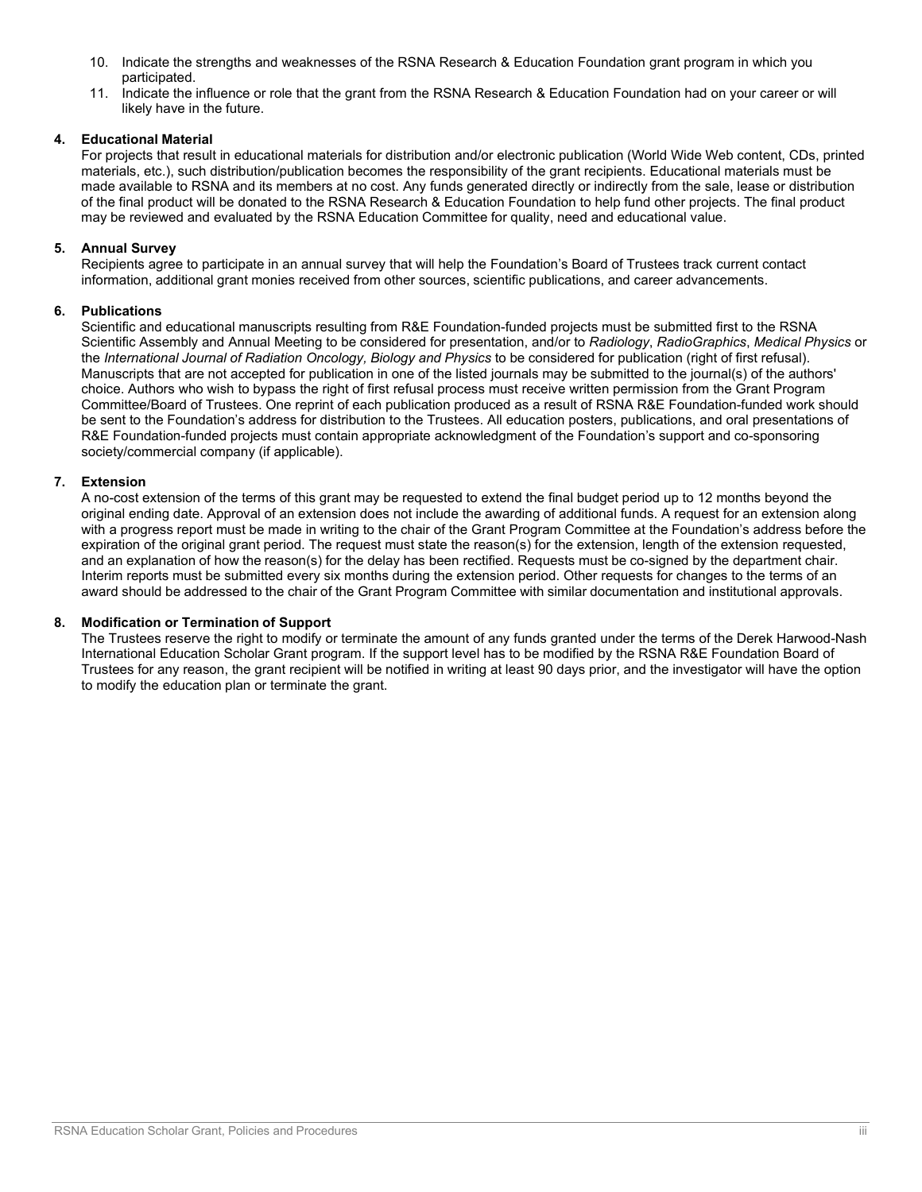- 10. Indicate the strengths and weaknesses of the RSNA Research & Education Foundation grant program in which you participated.
- 11. Indicate the influence or role that the grant from the RSNA Research & Education Foundation had on your career or will likely have in the future.

# **4. Educational Material**

For projects that result in educational materials for distribution and/or electronic publication (World Wide Web content, CDs, printed materials, etc.), such distribution/publication becomes the responsibility of the grant recipients. Educational materials must be made available to RSNA and its members at no cost. Any funds generated directly or indirectly from the sale, lease or distribution of the final product will be donated to the RSNA Research & Education Foundation to help fund other projects. The final product may be reviewed and evaluated by the RSNA Education Committee for quality, need and educational value.

# **5. Annual Survey**

Recipients agree to participate in an annual survey that will help the Foundation's Board of Trustees track current contact information, additional grant monies received from other sources, scientific publications, and career advancements.

# **6. Publications**

Scientific and educational manuscripts resulting from R&E Foundation-funded projects must be submitted first to the RSNA Scientific Assembly and Annual Meeting to be considered for presentation, and/or to *Radiology*, *RadioGraphics*, *Medical Physics* or the *International Journal of Radiation Oncology, Biology and Physics* to be considered for publication (right of first refusal). Manuscripts that are not accepted for publication in one of the listed journals may be submitted to the journal(s) of the authors' choice. Authors who wish to bypass the right of first refusal process must receive written permission from the Grant Program Committee/Board of Trustees. One reprint of each publication produced as a result of RSNA R&E Foundation-funded work should be sent to the Foundation's address for distribution to the Trustees. All education posters, publications, and oral presentations of R&E Foundation-funded projects must contain appropriate acknowledgment of the Foundation's support and co-sponsoring society/commercial company (if applicable).

## **7. Extension**

A no-cost extension of the terms of this grant may be requested to extend the final budget period up to 12 months beyond the original ending date. Approval of an extension does not include the awarding of additional funds. A request for an extension along with a progress report must be made in writing to the chair of the Grant Program Committee at the Foundation's address before the expiration of the original grant period. The request must state the reason(s) for the extension, length of the extension requested, and an explanation of how the reason(s) for the delay has been rectified. Requests must be co-signed by the department chair. Interim reports must be submitted every six months during the extension period. Other requests for changes to the terms of an award should be addressed to the chair of the Grant Program Committee with similar documentation and institutional approvals.

## **8. Modification or Termination of Support**

The Trustees reserve the right to modify or terminate the amount of any funds granted under the terms of the Derek Harwood-Nash International Education Scholar Grant program. If the support level has to be modified by the RSNA R&E Foundation Board of Trustees for any reason, the grant recipient will be notified in writing at least 90 days prior, and the investigator will have the option to modify the education plan or terminate the grant.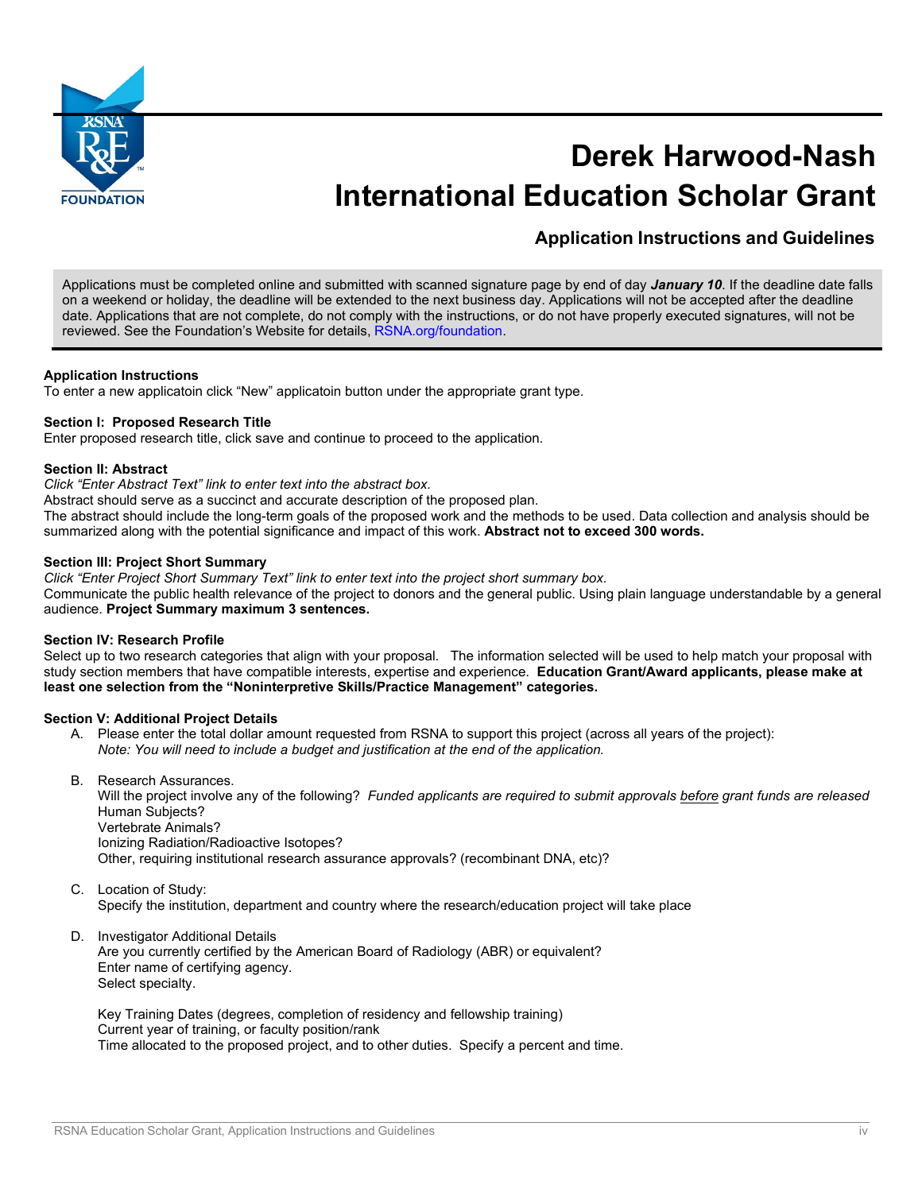

# **Derek Harwood-Nash International Education Scholar Grant**

**Application Instructions and Guidelines**

Applications must be completed online and submitted with scanned signature page by end of day *January 10*. If the deadline date falls on a weekend or holiday, the deadline will be extended to the next business day. Applications will not be accepted after the deadline date. Applications that are not complete, do not comply with the instructions, or do not have properly executed signatures, will not be reviewed. See the Foundation's Website for details, [RSNA.org/foundation.](http://www.rsna.org/foundation)

## **Application Instructions**

To enter a new applicatoin click "New" applicatoin button under the appropriate grant type.

## **Section I: Proposed Research Title**

Enter proposed research title, click save and continue to proceed to the application.

## **Section II: Abstract**

*Click "Enter Abstract Text" link to enter text into the abstract box.*

Abstract should serve as a succinct and accurate description of the proposed plan.

The abstract should include the long-term goals of the proposed work and the methods to be used. Data collection and analysis should be summarized along with the potential significance and impact of this work. **Abstract not to exceed 300 words.**

## **Section III: Project Short Summary**

*Click "Enter Project Short Summary Text" link to enter text into the project short summary box.* Communicate the public health relevance of the project to donors and the general public. Using plain language understandable by a general audience. **Project Summary maximum 3 sentences.**

## **Section IV: Research Profile**

Select up to two research categories that align with your proposal. The information selected will be used to help match your proposal with study section members that have compatible interests, expertise and experience. **Education Grant/Award applicants, please make at least one selection from the "Noninterpretive Skills/Practice Management" categories.** 

## **Section V: Additional Project Details**

- A. Please enter the total dollar amount requested from RSNA to support this project (across all years of the project): *Note: You will need to include a budget and justification at the end of the application.*
- B. Research Assurances.

Will the project involve any of the following? *Funded applicants are required to submit approvals before grant funds are released* Human Subjects? Vertebrate Animals? Ionizing Radiation/Radioactive Isotopes?

- Other, requiring institutional research assurance approvals? (recombinant DNA, etc)?
- C. Location of Study: Specify the institution, department and country where the research/education project will take place
- D. Investigator Additional Details

Are you currently certified by the American Board of Radiology (ABR) or equivalent? Enter name of certifying agency. Select specialty.

Key Training Dates (degrees, completion of residency and fellowship training) Current year of training, or faculty position/rank Time allocated to the proposed project, and to other duties. Specify a percent and time.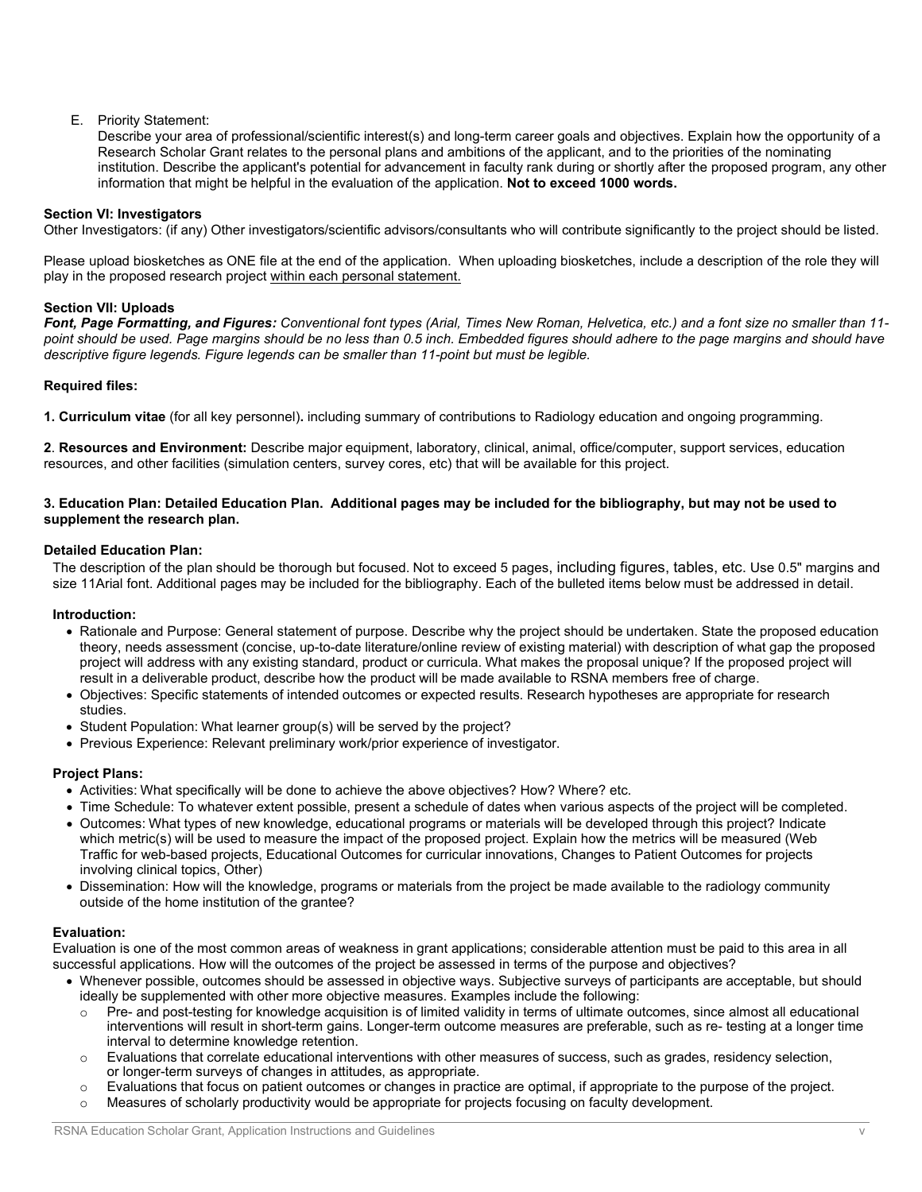# E. Priority Statement:

Describe your area of professional/scientific interest(s) and long-term career goals and objectives. Explain how the opportunity of a Research Scholar Grant relates to the personal plans and ambitions of the applicant, and to the priorities of the nominating institution. Describe the applicant's potential for advancement in faculty rank during or shortly after the proposed program, any other information that might be helpful in the evaluation of the application. **Not to exceed 1000 words.**

## **Section VI: Investigators**

Other Investigators: (if any) Other investigators/scientific advisors/consultants who will contribute significantly to the project should be listed.

Please upload biosketches as ONE file at the end of the application. When uploading biosketches, include a description of the role they will play in the proposed research project within each personal statement.

#### **Section VII: Uploads**

*Font, Page Formatting, and Figures: Conventional font types (Arial, Times New Roman, Helvetica, etc.) and a font size no smaller than 11* point should be used. Page margins should be no less than 0.5 inch. Embedded figures should adhere to the page margins and should have *descriptive figure legends. Figure legends can be smaller than 11-point but must be legible.*

# **Required files:**

**1. Curriculum vitae** (for all key personnel)**.** including summary of contributions to Radiology education and ongoing programming.

**2**. **Resources and Environment:** Describe major equipment, laboratory, clinical, animal, office/computer, support services, education resources, and other facilities (simulation centers, survey cores, etc) that will be available for this project.

#### **3. Education Plan: Detailed Education Plan. Additional pages may be included for the bibliography, but may not be used to supplement the research plan.**

#### **Detailed Education Plan:**

The description of the plan should be thorough but focused. Not to exceed 5 pages, including figures, tables, etc. Use 0.5" margins and size 11Arial font. Additional pages may be included for the bibliography. Each of the bulleted items below must be addressed in detail.

#### **Introduction:**

- Rationale and Purpose: General statement of purpose. Describe why the project should be undertaken. State the proposed education theory, needs assessment (concise, up-to-date literature/online review of existing material) with description of what gap the proposed project will address with any existing standard, product or curricula. What makes the proposal unique? If the proposed project will result in a deliverable product, describe how the product will be made available to RSNA members free of charge.
- Objectives: Specific statements of intended outcomes or expected results. Research hypotheses are appropriate for research studies.
- Student Population: What learner group(s) will be served by the project?
- Previous Experience: Relevant preliminary work/prior experience of investigator.

#### **Project Plans:**

- Activities: What specifically will be done to achieve the above objectives? How? Where? etc.
- Time Schedule: To whatever extent possible, present a schedule of dates when various aspects of the project will be completed.
- Outcomes: What types of new knowledge, educational programs or materials will be developed through this project? Indicate which metric(s) will be used to measure the impact of the proposed project. Explain how the metrics will be measured (Web Traffic for web-based projects, Educational Outcomes for curricular innovations, Changes to Patient Outcomes for projects involving clinical topics, Other)
- Dissemination: How will the knowledge, programs or materials from the project be made available to the radiology community outside of the home institution of the grantee?

#### **Evaluation:**

Evaluation is one of the most common areas of weakness in grant applications; considerable attention must be paid to this area in all successful applications. How will the outcomes of the project be assessed in terms of the purpose and objectives?

- Whenever possible, outcomes should be assessed in objective ways. Subjective surveys of participants are acceptable, but should ideally be supplemented with other more objective measures. Examples include the following:
	- $\circ$  Pre- and post-testing for knowledge acquisition is of limited validity in terms of ultimate outcomes, since almost all educational interventions will result in short-term gains. Longer-term outcome measures are preferable, such as re- testing at a longer time interval to determine knowledge retention.
	- $\circ$  Evaluations that correlate educational interventions with other measures of success, such as grades, residency selection, or longer-term surveys of changes in attitudes, as appropriate.
- $\circ$  Evaluations that focus on patient outcomes or changes in practice are optimal, if appropriate to the purpose of the project.
- o Measures of scholarly productivity would be appropriate for projects focusing on faculty development.